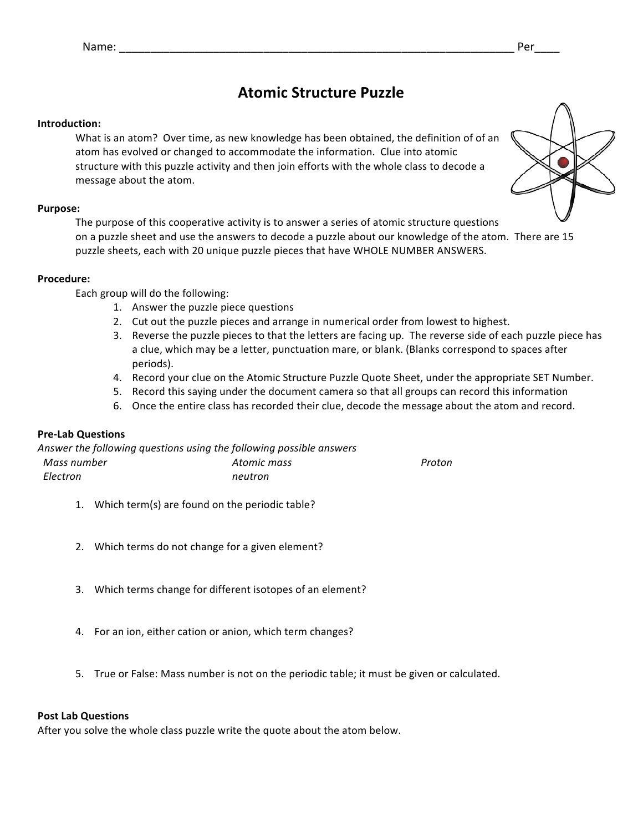### **Atomic Structure Puzzle**

#### **Introduction:**

What is an atom? Over time, as new knowledge has been obtained, the definition of of an atom has evolved or changed to accommodate the information. Clue into atomic structure with this puzzle activity and then join efforts with the whole class to decode a message about the atom.

#### **Purpose:**

The purpose of this cooperative activity is to answer a series of atomic structure questions on a puzzle sheet and use the answers to decode a puzzle about our knowledge of the atom. There are 15 puzzle sheets, each with 20 unique puzzle pieces that have WHOLE NUMBER ANSWERS.

#### **Procedure:**

Each group will do the following:

- 1. Answer the puzzle piece questions
- 2. Cut out the puzzle pieces and arrange in numerical order from lowest to highest.
- 3. Reverse the puzzle pieces to that the letters are facing up. The reverse side of each puzzle piece has a clue, which may be a letter, punctuation mare, or blank. (Blanks correspond to spaces after periods).
- 4. Record your clue on the Atomic Structure Puzzle Quote Sheet, under the appropriate SET Number.
- 5. Record this saying under the document camera so that all groups can record this information
- 6. Once the entire class has recorded their clue, decode the message about the atom and record.

#### **Pre-Lab Questions**

| Answer the following questions using the following possible answers |             |        |
|---------------------------------------------------------------------|-------------|--------|
| Mass number                                                         | Atomic mass | Proton |
| Electron                                                            | neutron     |        |

- 1. Which term(s) are found on the periodic table?
- 2. Which terms do not change for a given element?
- 3. Which terms change for different isotopes of an element?
- 4. For an ion, either cation or anion, which term changes?
- 5. True or False: Mass number is not on the periodic table; it must be given or calculated.

#### **Post Lab Questions**

After you solve the whole class puzzle write the quote about the atom below.